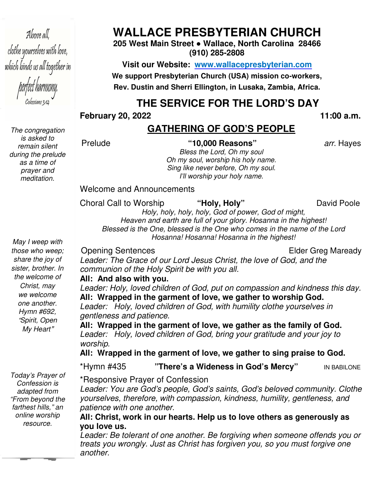Above all, clothe yourselves with love, which binds us all together in

Colossians 3:14

*The congregation is asked to remain silent during the prelude as a time of prayer and meditation.* 

# **WALLACE PRESBYTERIAN CHURCH**

**205 West Main Street ● Wallace, North Carolina 28466 (910) 285-2808** 

**Visit our Website: www.wallacepresbyterian.com** We support Presbyterian Church (USA) mission co-workers, **Rev. Dustin and Sherri Ellington, in Lusaka, Sherri Ellington, Lusaka, Zambia, Africa.** 

# **THE SERVICE FOR THE LORD'S DAY**

**February 20, 2022** 

 **11:00 a.m.**

## **GATHERING OF GOD'S PEOPLE**

Prelude

**"10,000 Reasons"** *arr.*

*Oh my soul, worship his holy name. Sing like never before, Oh my soul. Bless the Lord, Oh my soul I'll worship your holy name.* 

Welcome and Announcements and Announcements<br>Il to Worship "**Holy, Holy**" David Poole

Choral Call to Worship

 *Holy, holy, holy, holy, God of power, God of might, Heaven and earth are full of your glory. Hosanna in the highest! Blessed is the One, blessed is the One who comes in the name of the Lord Hosanna! Hosanna! Hosanna in the highest! holy, holy, God of power, God of might,<br>n are full of your glory. Hosanna in the highest!<br>ssed is the One who comes in the name of the Lord* 

Opening Sentences

*Leader: The Grace of our Lord Jesus Christ, the love of God, and the communion of the Holy Spirit be with you all.* Elder Greg Maready

**All: And also with you.**

*communion of the Holy Spirit be with you all.*<br>**All: And also with you.**<br>Leader: Holy, loved children of God, put on compassion and kindness this day. **All: Wrapped in the garment of love, we gather to worship God. gather** Leader: Holy, loved children of God, with humility clothe yourselves in *gentleness and patience. .*<sup>49</sup> (10,000 Reasons"<br> *Blass the Lord, Ohmy soul*<br> *Chimy soul, worship his holy name.*<br> *Sing like new to before, Ohmy soul.*<br> *Worship your holy, Holy, Holy, Holy, Holy, Holy, Holy, Holy, Holy, Holy, Holy, Holy, Holy, H* 

All: Wrapped in the garment of love, we gather as the family of God. Leader: Holy, loved children of God, bring your gratitude and your joy to *worship.* 

**All: Wrapped in the garment of love, we gather to sing praise to God.<br>\*Hymn #435 "<b>There's a Wideness in God's Mercy**" <sub>IN BABILONE</sub>

\*Hymn #435 **"There's a Wideness in God's Mercy**

 *online worship Today's Prayer of Confession is adapted from "From beyond the farthest hills," an resource.* 

\*Responsive Prayer of Confession Prayer

*Leader: You are God's people, God's saints, God's beloved community. Clothe yourselves, therefore, with compassion, kindness, humility, gentleness, and beloved yourselves, patience with one another.* in the garment of love, we gather to sin<br>
"There's a Wideness in God's Mer<br>
"rayer of Confession<br>
e God's people, God's saints, God's belov<br>
rrefore, with compassion, kindness, humilit<br>
ne another.<br> **rk in our hearts. Help** 

All: Christ, work in our hearts. Help us to love others as generously as **you love us.** 

Leader: Be tolerant of one another. Be forgiving when someone offends you or Leader: Be tolerant of one another. Be forgiving when someone offends you<br>treats you wrongly. Just as Christ has forgiven you, so you must forgive one *another.*

*May I weep with those who weep; share the joy of sister, brother. In the welcome of Christ, may we welcome one another. Hymn #692,*  "*Spirit, Open My Heart*"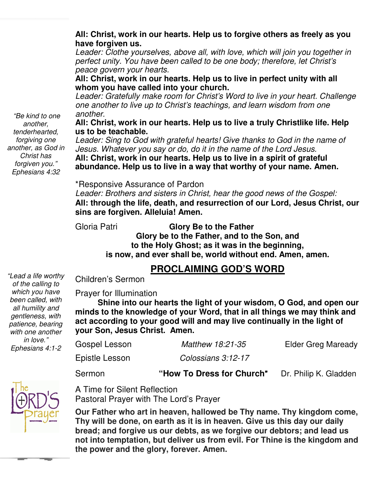#### **All: Christ, work in our hearts. Help us to forgive others as freely as you have forgiven us.**

Leader: Clothe yourselves, above all, with love, which will join you together in *perfect unity. You have been called to be one body; therefore, let Christ's peace govern your hearts.* 

#### **All: Christ, work in our hearts. Help us to live in perfect unity with all whom you have called into your church.**

*Leader: Gratefully make room for Christ's Word to live in your heart. Challenge one another to live up to Christ's teachings, and learn wisdom from one another.* 

#### **us to be teachable. All: Christ, work in our hearts. Help us to live a truly Christlike life. Help**

 **All: Christ, work in our hearts. Help us to live in a spirit of grateful**  *Leader: Sing to God with grateful hearts! Give thanks to God in the name of Jesus. Whatever you say or do, do it in the name of the Lord Jesus.*  **abundance. Help us to live in a way that worthy of your name. Amen.**

\*Responsive Assurance of Pardon

 *Leader: Brothers and sisters in Christ, hear the good news of the Gospel:*  **All: through the life, death, and resurrection of our Lord, Jesus Christ, our sins are forgiven. Alleluia! Amen.**

Gloria Patri **Glory Be to the Father** 

**Glory be to the Father, and to the Son, and to the Holy Ghost; as it was in the beginning, is now, and ever shall be, world without end. Amen, amen.** 

## **PROCLAIMING GOD'S WORD**

*"Lead a life worthy of the calling to which you have been called, with all humility and gentleness, with patience, bearing with one another in love." Ephesians 4:1-2* 

Children's Sermon

Prayer for Illumination

 **Shine into our hearts the light of your wisdom, O God, and open our minds to the knowledge of your Word, that in all things we may think and act according to your good will and may live continually in the light of your Son, Jesus Christ. Amen.**

| Gospel Lesson  | Matthew 18:21-35   | <b>Elder Greg Maready</b> |
|----------------|--------------------|---------------------------|
| Epistle Lesson | Colossians 3:12-17 |                           |

Sermon **"How To Dress for Church**"Dr. Philip K. Gladden



A Time for Silent Reflection

Pastoral Prayer with The Lord's Prayer

**Our Father who art in heaven, hallowed be Thy name. Thy kingdom come, Thy will be done, on earth as it is in heaven. Give us this day our daily bread; and forgive us our debts, as we forgive our debtors; and lead us not into temptation, but deliver us from evil. For Thine is the kingdom and the power and the glory, forever. Amen.**

 *forgiving one "Be kind to one another, tenderhearted, another, as God in Christ has forgiven you." Ephesians 4:32*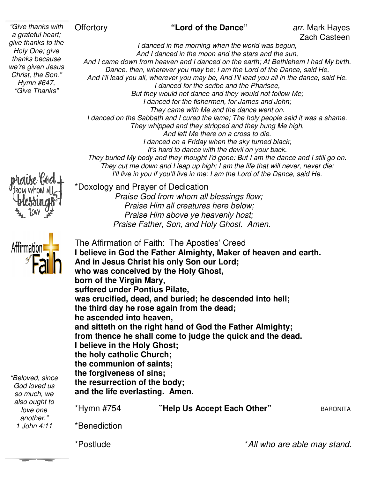### **Offertory**

 *Christ, the Son."* 

*Hymn #647, "Give Thanks"* 

**Affirmation** 

*"Give thanks with a grateful heart; give thanks to the Holy One; give thanks because we're given Jesus* 

 Zach Casteen arr. Mark Hayes

*I* danced in the morning when the world was begun, *And I danced in the moon and the stars and the sun, And I came down from heaven and I danced on the earth; At Bethlehem I had My birth.* Dance, then, wherever you may be; I am the Lord of the Dance, said He, *And I'll lead you all, wherever you may be, And I'll lead you all in the dance, said He. I danced for But they would not dance and they would not follow Me; I danced for the fishermen, for James and John; They came with Me and the dance went on. I danced for the scribe and the Pharisee,<br>
I danced for the scribe and the Pharisee,<br>
But they would not dance and they would not follow Me;<br>
I danced for the fishermen, for James and John;<br>
They came with Me and the danc They whipped and they stripped and they hung Me high, And left Me there on a cross to die. I danced on a Friday when the sky turned black; It's hard to dance with the devil on your back. They buried My body and they thought I'd gone: But I am the danc e They cut me down and I leap up high; I am the life that will never, never die; I*y cut me down and I leap up high; I am the life that will never, never<br>I'll live in you if you'll live in me: I am the Lord of the Dance, said He. \*Doxology and Prayer of Dedication *Praise God from whom all blessings flow; Praise Him all creatures here below; x* arr. Mark Hayes<br> *art;*<br> *I* danced in the morning when the world was begun,<br> *And I danced in the moon and the stars and the sun,*<br> *And I came down from heaven and I danced on the earth; At Bethlehem I had My birth*<br> *And I danced in the moon and the stars and the And I came down from heaven and I danced on the earth; At Bet*<br>Dance, then, wherever you may be; I am the Lord of the I<br>And I'll lead you all, wherever you may be, And I'll l *But they would not dance and they would not follow Me;<br>
I danced for the fishermen, for James and John;<br>
They came with Me and the dance went on.*<br> *on the Sabbath and I cured the lame; The holy people said it was a shame* 

 *Praise Him above ye heavenly host; Praise Father, Son, and Holy Ghost. Amen.* ise Him all creatures here<br>ise Him above ye heavenl<br>Father, Son, and Holy Gh

The Affirmation of Faith: The Apostles' Creed **I believe in God the Father Almighty, Maker of heaven and earth. And in Jesus Christ his only Son our Lord; Christ Lord; who was conceived by the Holy Ghost, the Ghost, born of the Virgin Mary, suffered under Pontius Pilate, Pilate,**  was crucified, dead, and buried; he descended into hell; the third day he rose again from the dead; **he ascended into heaven, and sitteth on the right hand of God the Father Almighty; from thence he shall come to judge the quick and the dead. I believe in the Holy Ghost; the holy catholic Church; the communion of saints; saints; the forgiveness of sins; the resurrection of the body; of body; and the life everlasting. Amen.**  \*Hymn #754 **"Help Us Accept Each Other Other"** BARONITA \*Benediction *"Beloved, since God loved us so much, we also ought to love one another." 1 John 4:11* ascended into heaven,<br>**d sitteth on the right hand of God the Father**<br>m thence he shall come to judge the quick a<br>elieve in the Holy Ghost;<br>**holy catholic Church**; **BARONITA** 

\*Postlude

\**All who are able may stand. All may*